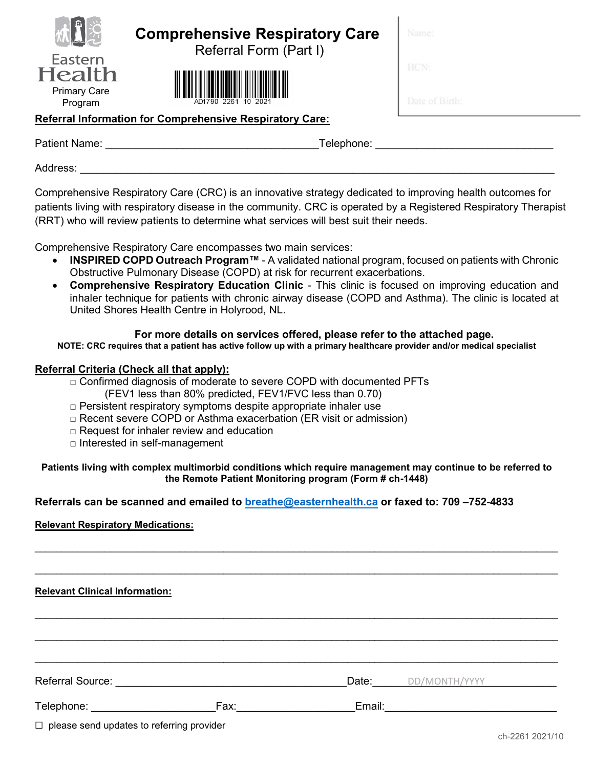| Eastern<br>lealth              |
|--------------------------------|
| <b>Primary Care</b><br>Program |

# **Comprehensive Respiratory Care**

Referral Form (Part I)



### **Referral Information for Comprehensive Respiratory Care:**

Patient Name: \_\_\_\_\_\_\_\_\_\_\_\_\_\_\_\_\_\_\_\_\_\_\_\_\_\_\_\_\_\_\_\_\_\_\_\_Telephone: \_\_\_\_\_\_\_\_\_\_\_\_\_\_\_\_\_\_\_\_\_\_\_\_\_\_\_\_\_\_

Address:

Comprehensive Respiratory Care (CRC) is an innovative strategy dedicated to improving health outcomes for patients living with respiratory disease in the community. CRC is operated by a Registered Respiratory Therapist (RRT) who will review patients to determine what services will best suit their needs.

Comprehensive Respiratory Care encompasses two main services:

- **INSPIRED COPD Outreach Program™** A validated national program, focused on patients with Chronic Obstructive Pulmonary Disease (COPD) at risk for recurrent exacerbations.
- **Comprehensive Respiratory Education Clinic** This clinic is focused on improving education and inhaler technique for patients with chronic airway disease (COPD and Asthma). The clinic is located at United Shores Health Centre in Holyrood, NL.

### **For more details on services offered, please refer to the attached page.**

**NOTE: CRC requires that a patient has active follow up with a primary healthcare provider and/or medical specialist**

#### **Referral Criteria (Check all that apply):**

- $\Box$  Confirmed diagnosis of moderate to severe COPD with documented PFTs
	- (FEV1 less than 80% predicted, FEV1/FVC less than 0.70)
- $\Box$  Persistent respiratory symptoms despite appropriate inhaler use
- □ Recent severe COPD or Asthma exacerbation (ER visit or admission)
- $\Box$  Request for inhaler review and education
- □ Interested in self-management

#### **Patients living with complex multimorbid conditions which require management may continue to be referred to the Remote Patient Monitoring program (Form # ch-1448)**

\_\_\_\_\_\_\_\_\_\_\_\_\_\_\_\_\_\_\_\_\_\_\_\_\_\_\_\_\_\_\_\_\_\_\_\_\_\_\_\_\_\_\_\_\_\_\_\_\_\_\_\_\_\_\_\_\_\_\_\_\_\_\_\_\_\_\_\_\_\_\_\_\_\_\_\_\_\_\_\_\_\_\_\_\_\_\_\_\_\_\_\_\_\_\_\_\_

\_\_\_\_\_\_\_\_\_\_\_\_\_\_\_\_\_\_\_\_\_\_\_\_\_\_\_\_\_\_\_\_\_\_\_\_\_\_\_\_\_\_\_\_\_\_\_\_\_\_\_\_\_\_\_\_\_\_\_\_\_\_\_\_\_\_\_\_\_\_\_\_\_\_\_\_\_\_\_\_\_\_\_\_\_\_\_\_\_\_\_\_\_\_\_\_\_

\_\_\_\_\_\_\_\_\_\_\_\_\_\_\_\_\_\_\_\_\_\_\_\_\_\_\_\_\_\_\_\_\_\_\_\_\_\_\_\_\_\_\_\_\_\_\_\_\_\_\_\_\_\_\_\_\_\_\_\_\_\_\_\_\_\_\_\_\_\_\_\_\_\_\_\_\_\_\_\_\_\_\_\_\_\_\_\_\_\_\_\_\_\_\_\_\_

\_\_\_\_\_\_\_\_\_\_\_\_\_\_\_\_\_\_\_\_\_\_\_\_\_\_\_\_\_\_\_\_\_\_\_\_\_\_\_\_\_\_\_\_\_\_\_\_\_\_\_\_\_\_\_\_\_\_\_\_\_\_\_\_\_\_\_\_\_\_\_\_\_\_\_\_\_\_\_\_\_\_\_\_\_\_\_\_\_\_\_\_\_\_\_\_\_

\_\_\_\_\_\_\_\_\_\_\_\_\_\_\_\_\_\_\_\_\_\_\_\_\_\_\_\_\_\_\_\_\_\_\_\_\_\_\_\_\_\_\_\_\_\_\_\_\_\_\_\_\_\_\_\_\_\_\_\_\_\_\_\_\_\_\_\_\_\_\_\_\_\_\_\_\_\_\_\_\_\_\_\_\_\_\_\_\_\_\_\_\_\_\_\_\_

### **Referrals can be scanned and emailed to breathe@easternhealth.ca or faxed to: 709 –752-4833**

#### **Relevant Respiratory Medications:**

**Relevant Clinical Information:** 

Referral Source: etc. and the set of the set of the set of the DD/MONTH/YYYY and the set of the set of the set of the set of the set of the set of the set of the set of the set of the set of the set of the set of the set o

Telephone: The Contract Contract Contract Contract Contract Contract Contract Contract Contract Contract Contract Contract Contract Contract Contract Contract Contract Contract Contract Contract Contract Contract Contract

☐ please send updates to referring provider